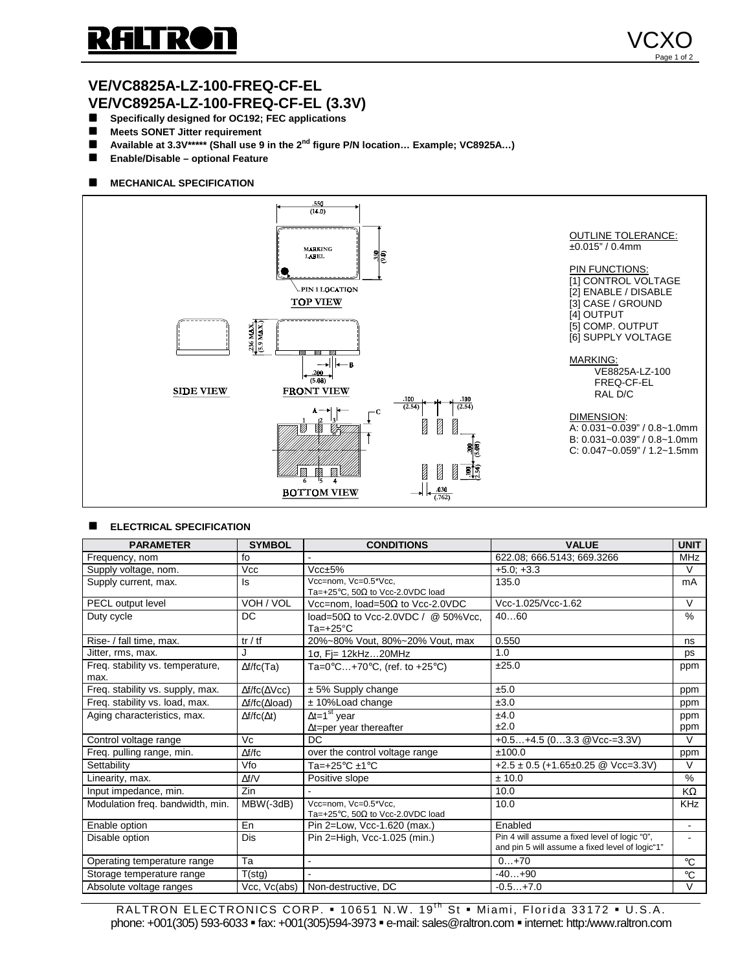

## **VE/VC8825A-LZ-100-FREQ-CF-EL VE/VC8925A-LZ-100-FREQ-CF-EL (3.3V)**

- $\blacksquare$  Specifically designed for OC192; FEC applications
- $\blacksquare$  Meets SONET Jitter requirement
- Available at 3.3V<sup>\*\*\*\*\*</sup> (Shall use 9 in the 2<sup>nd</sup> figure P/N location... Example; VC8925A...)
- **Enable/Disable optional Feature**

### $M$  **MECHANICAL SPECIFICATION**



#### **ELECTRICAL SPECIFICATION**

| <b>PARAMETER</b>                         | <b>SYMBOL</b>                 | <b>CONDITIONS</b>                                                | <b>VALUE</b>                                                                                     | <b>UNIT</b>              |
|------------------------------------------|-------------------------------|------------------------------------------------------------------|--------------------------------------------------------------------------------------------------|--------------------------|
| Frequency, nom                           | fo                            |                                                                  | 622.08; 666.5143; 669.3266                                                                       | <b>MHz</b>               |
| Supply voltage, nom.                     | <b>Vcc</b>                    | $Vcc \pm 5\%$                                                    | $+5.0; +3.3$                                                                                     | $\vee$                   |
| Supply current, max.                     | ls                            | Vcc=nom. Vc=0.5*Vcc.<br>Ta=+25°C, 50 $\Omega$ to Vcc-2.0VDC load | 135.0                                                                                            | mA                       |
| PECL output level                        | VOH / VOL                     | Vcc=nom, load=50 $\Omega$ to Vcc-2.0VDC                          | Vcc-1.025/Vcc-1.62                                                                               | $\vee$                   |
| Duty cycle                               | DC                            | load=50 $\Omega$ to Vcc-2.0VDC / @ 50%Vcc,<br>$Ta=+25^{\circ}C$  | 4060                                                                                             | %                        |
| Rise- / fall time, max.                  | tr / tf                       | 20%~80% Vout, 80%~20% Vout, max                                  | 0.550                                                                                            | ns                       |
| Jitter, rms, max.                        | J                             | $1\sigma$ , Fi= $12kHz20MHz$                                     | 1.0                                                                                              | ps                       |
| Freq. stability vs. temperature,<br>max. | $\Delta f$ f $C(Ta)$          | Ta=0°C+70°C, (ref. to +25°C)                                     | ±25.0                                                                                            | ppm                      |
| Freq. stability vs. supply, max.         | $\Delta f/fC(\Delta VCC)$     | $± 5\%$ Supply change                                            | ±5.0                                                                                             | ppm                      |
| Freg. stability vs. load, max.           | $\Delta f/fc(\Delta load)$    | $± 10\%$ Load change                                             | ±3.0                                                                                             | ppm                      |
| Aging characteristics, max.              | $\Delta f / f \cdot \Delta t$ | ∆t=1 <sup>st</sup> year                                          | ±4.0                                                                                             | ppm                      |
|                                          |                               | $\Delta t =$ per year thereafter                                 | ±2.0                                                                                             | ppm                      |
| Control voltage range                    | Vc                            | <b>DC</b>                                                        | +0.5+4.5 (03.3 @Vcc-=3.3V)                                                                       | $\mathsf{V}$             |
| Freg. pulling range, min.                | $\Delta f/fc$                 | over the control voltage range                                   | ±100.0                                                                                           | ppm                      |
| Settability                              | Vfo                           | Ta=+25 $\mathrm{^{\circ}C}$ ±1 $\mathrm{^{\circ}C}$              | +2.5 ± 0.5 (+1.65±0.25 @ Vcc=3.3V)                                                               | $\mathsf{V}$             |
| Linearity, max.                          | $\Delta f/V$                  | Positive slope                                                   | ± 10.0                                                                                           | %                        |
| Input impedance, min.                    | Zin                           |                                                                  | 10.0                                                                                             | KΩ                       |
| Modulation freq. bandwidth, min.         | MBW(-3dB)                     | Vcc=nom, Vc=0.5*Vcc,<br>Ta=+25°C, 50 $\Omega$ to Vcc-2.0VDC load | 10.0                                                                                             | <b>KHz</b>               |
| Enable option                            | En                            | Pin 2=Low, Vcc-1.620 (max.)                                      | Enabled                                                                                          | $\blacksquare$           |
| Disable option                           | Dis                           | Pin 2=High, Vcc-1.025 (min.)                                     | Pin 4 will assume a fixed level of logic "0".<br>and pin 5 will assume a fixed level of logic"1" | $\overline{\phantom{a}}$ |
| Operating temperature range              | Ta                            | $\blacksquare$                                                   | $0+70$                                                                                           | °C                       |
| Storage temperature range                | T(stq)                        |                                                                  | $-40+90$                                                                                         | $^\circ \text{C}$        |
| Absolute voltage ranges                  | Vcc, Vc(abs)                  | Non-destructive, DC                                              | $-0.5+7.0$                                                                                       | $\vee$                   |
|                                          |                               |                                                                  |                                                                                                  |                          |

RALTRON ELECTRONICS CORP. . 10651 N.W. 19<sup>th</sup> St . Miami, Florida 33172 . U.S.A. phone: +001(305) 593-6033 · fax: +001(305)594-3973 · e-mail: sales@raltron.com · internet: http:/www.raltron.com